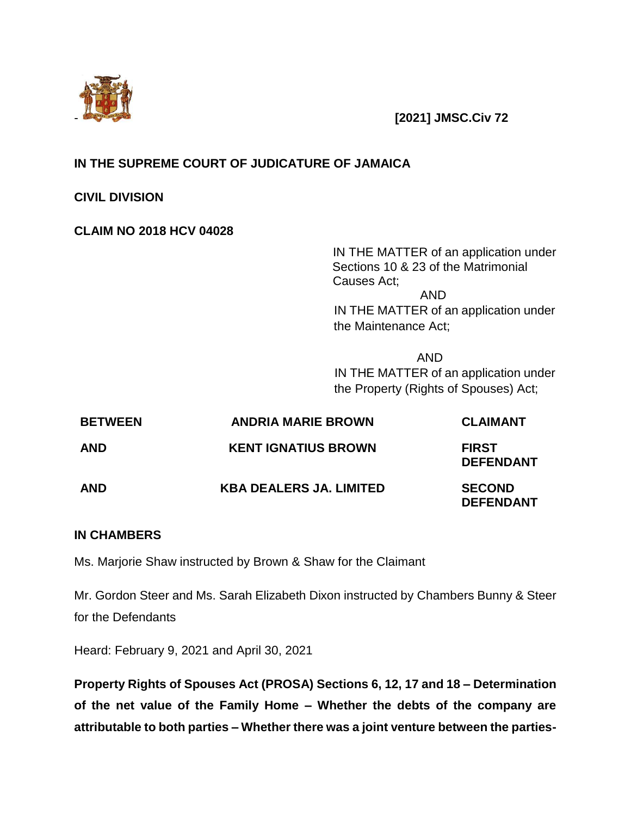

- **[2021] JMSC.Civ 72**

# **IN THE SUPREME COURT OF JUDICATURE OF JAMAICA**

**CIVIL DIVISION**

# **CLAIM NO 2018 HCV 04028**

IN THE MATTER of an application under Sections 10 & 23 of the Matrimonial Causes Act; AND IN THE MATTER of an application under the Maintenance Act;

AND IN THE MATTER of an application under the Property (Rights of Spouses) Act;

| <b>BETWEEN</b> | <b>ANDRIA MARIE BROWN</b>      | <b>CLAIMANT</b>                   |
|----------------|--------------------------------|-----------------------------------|
| AND            | <b>KENT IGNATIUS BROWN</b>     | <b>FIRST</b><br><b>DEFENDANT</b>  |
| AND            | <b>KBA DEALERS JA. LIMITED</b> | <b>SECOND</b><br><b>DEFENDANT</b> |

## **IN CHAMBERS**

Ms. Marjorie Shaw instructed by Brown & Shaw for the Claimant

Mr. Gordon Steer and Ms. Sarah Elizabeth Dixon instructed by Chambers Bunny & Steer for the Defendants

Heard: February 9, 2021 and April 30, 2021

**Property Rights of Spouses Act (PROSA) Sections 6, 12, 17 and 18 – Determination of the net value of the Family Home – Whether the debts of the company are attributable to both parties – Whether there was a joint venture between the parties-**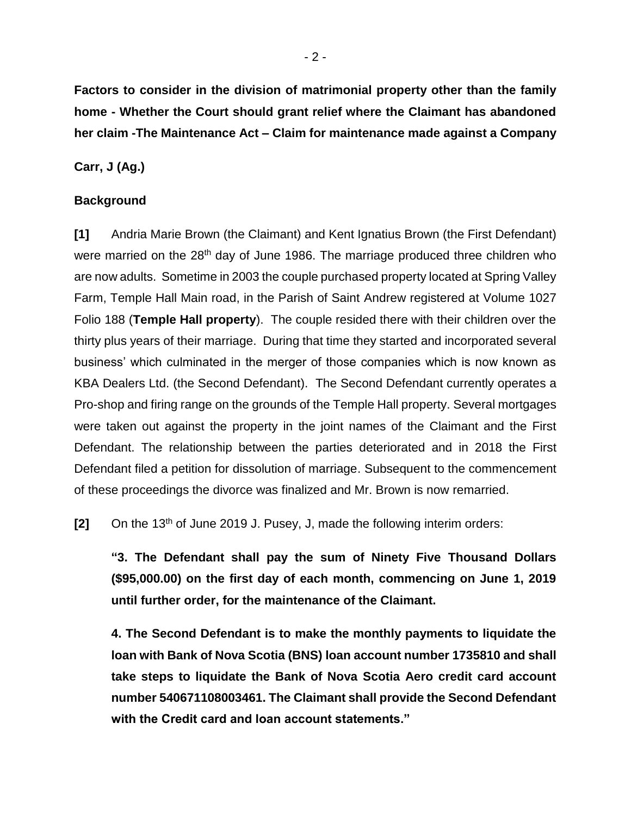**Factors to consider in the division of matrimonial property other than the family home - Whether the Court should grant relief where the Claimant has abandoned her claim -The Maintenance Act – Claim for maintenance made against a Company** 

**Carr, J (Ag.)**

#### **Background**

**[1]** Andria Marie Brown (the Claimant) and Kent Ignatius Brown (the First Defendant) were married on the 28<sup>th</sup> day of June 1986. The marriage produced three children who are now adults. Sometime in 2003 the couple purchased property located at Spring Valley Farm, Temple Hall Main road, in the Parish of Saint Andrew registered at Volume 1027 Folio 188 (**Temple Hall property**). The couple resided there with their children over the thirty plus years of their marriage. During that time they started and incorporated several business' which culminated in the merger of those companies which is now known as KBA Dealers Ltd. (the Second Defendant). The Second Defendant currently operates a Pro-shop and firing range on the grounds of the Temple Hall property. Several mortgages were taken out against the property in the joint names of the Claimant and the First Defendant. The relationship between the parties deteriorated and in 2018 the First Defendant filed a petition for dissolution of marriage. Subsequent to the commencement of these proceedings the divorce was finalized and Mr. Brown is now remarried.

**[2]** On the 13<sup>th</sup> of June 2019 J. Pusey, J, made the following interim orders:

**"3. The Defendant shall pay the sum of Ninety Five Thousand Dollars (\$95,000.00) on the first day of each month, commencing on June 1, 2019 until further order, for the maintenance of the Claimant.**

**4. The Second Defendant is to make the monthly payments to liquidate the loan with Bank of Nova Scotia (BNS) loan account number 1735810 and shall take steps to liquidate the Bank of Nova Scotia Aero credit card account number 540671108003461. The Claimant shall provide the Second Defendant with the Credit card and loan account statements."**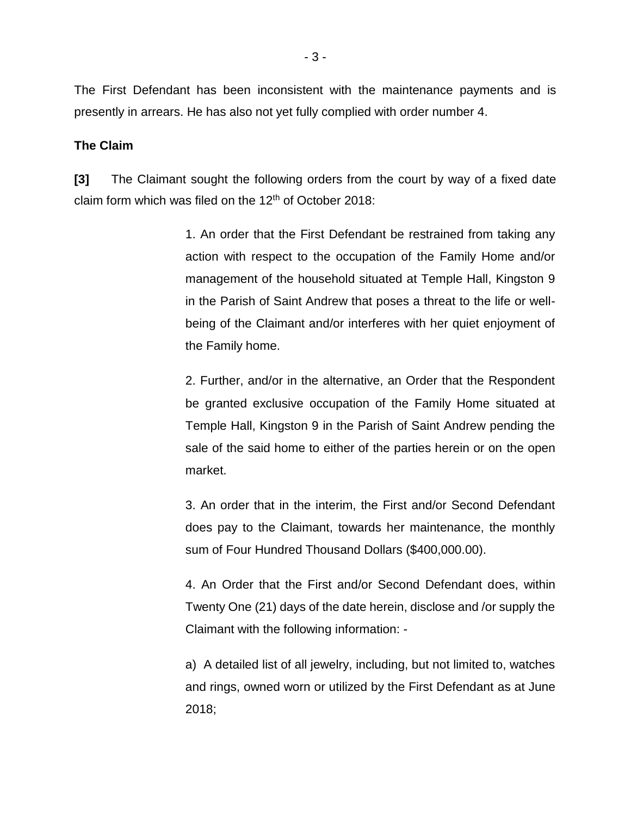The First Defendant has been inconsistent with the maintenance payments and is presently in arrears. He has also not yet fully complied with order number 4.

#### **The Claim**

**[3]** The Claimant sought the following orders from the court by way of a fixed date claim form which was filed on the  $12<sup>th</sup>$  of October 2018:

> 1. An order that the First Defendant be restrained from taking any action with respect to the occupation of the Family Home and/or management of the household situated at Temple Hall, Kingston 9 in the Parish of Saint Andrew that poses a threat to the life or wellbeing of the Claimant and/or interferes with her quiet enjoyment of the Family home.

> 2. Further, and/or in the alternative, an Order that the Respondent be granted exclusive occupation of the Family Home situated at Temple Hall, Kingston 9 in the Parish of Saint Andrew pending the sale of the said home to either of the parties herein or on the open market.

> 3. An order that in the interim, the First and/or Second Defendant does pay to the Claimant, towards her maintenance, the monthly sum of Four Hundred Thousand Dollars (\$400,000.00).

> 4. An Order that the First and/or Second Defendant does, within Twenty One (21) days of the date herein, disclose and /or supply the Claimant with the following information: -

> a) A detailed list of all jewelry, including, but not limited to, watches and rings, owned worn or utilized by the First Defendant as at June 2018;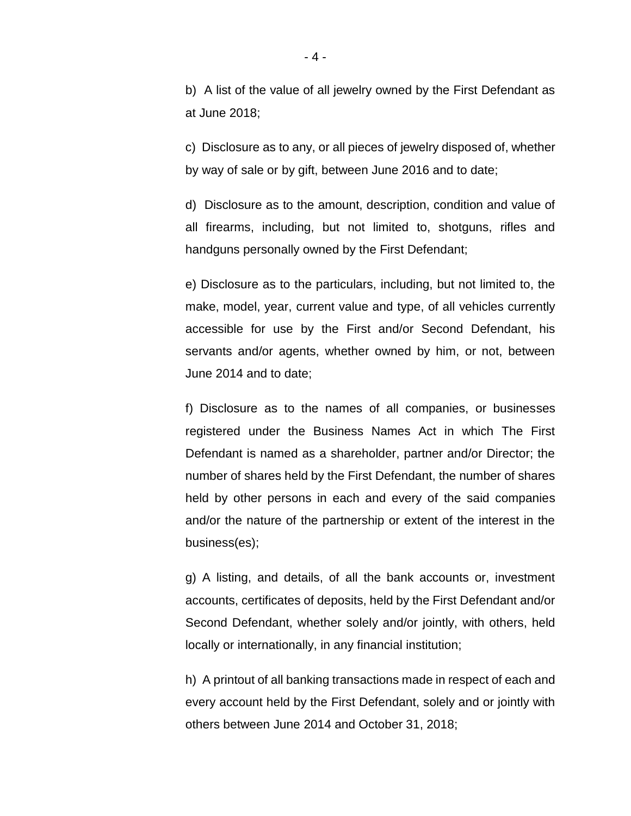b) A list of the value of all jewelry owned by the First Defendant as at June 2018;

c) Disclosure as to any, or all pieces of jewelry disposed of, whether by way of sale or by gift, between June 2016 and to date;

d) Disclosure as to the amount, description, condition and value of all firearms, including, but not limited to, shotguns, rifles and handguns personally owned by the First Defendant;

e) Disclosure as to the particulars, including, but not limited to, the make, model, year, current value and type, of all vehicles currently accessible for use by the First and/or Second Defendant, his servants and/or agents, whether owned by him, or not, between June 2014 and to date;

f) Disclosure as to the names of all companies, or businesses registered under the Business Names Act in which The First Defendant is named as a shareholder, partner and/or Director; the number of shares held by the First Defendant, the number of shares held by other persons in each and every of the said companies and/or the nature of the partnership or extent of the interest in the business(es);

g) A listing, and details, of all the bank accounts or, investment accounts, certificates of deposits, held by the First Defendant and/or Second Defendant, whether solely and/or jointly, with others, held locally or internationally, in any financial institution;

h) A printout of all banking transactions made in respect of each and every account held by the First Defendant, solely and or jointly with others between June 2014 and October 31, 2018;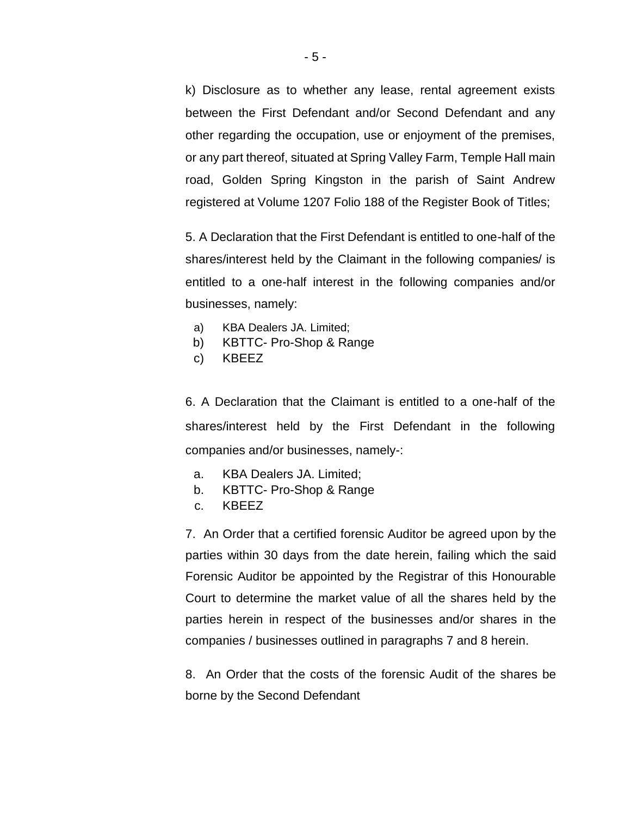k) Disclosure as to whether any lease, rental agreement exists between the First Defendant and/or Second Defendant and any other regarding the occupation, use or enjoyment of the premises, or any part thereof, situated at Spring Valley Farm, Temple Hall main road, Golden Spring Kingston in the parish of Saint Andrew registered at Volume 1207 Folio 188 of the Register Book of Titles;

5. A Declaration that the First Defendant is entitled to one-half of the shares/interest held by the Claimant in the following companies/ is entitled to a one-half interest in the following companies and/or businesses, namely:

- a) KBA Dealers JA. Limited;
- b) KBTTC- Pro-Shop & Range
- c) KBEEZ

6. A Declaration that the Claimant is entitled to a one-half of the shares/interest held by the First Defendant in the following companies and/or businesses, namely-:

- a. KBA Dealers JA. Limited;
- b. KBTTC- Pro-Shop & Range
- c. KBEEZ

7. An Order that a certified forensic Auditor be agreed upon by the parties within 30 days from the date herein, failing which the said Forensic Auditor be appointed by the Registrar of this Honourable Court to determine the market value of all the shares held by the parties herein in respect of the businesses and/or shares in the companies / businesses outlined in paragraphs 7 and 8 herein.

8. An Order that the costs of the forensic Audit of the shares be borne by the Second Defendant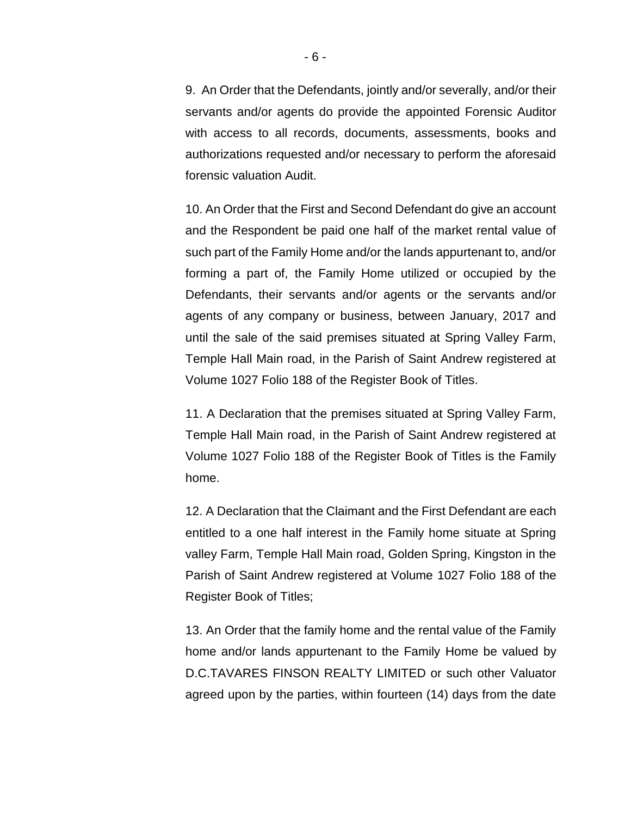9. An Order that the Defendants, jointly and/or severally, and/or their servants and/or agents do provide the appointed Forensic Auditor with access to all records, documents, assessments, books and authorizations requested and/or necessary to perform the aforesaid forensic valuation Audit.

10. An Order that the First and Second Defendant do give an account and the Respondent be paid one half of the market rental value of such part of the Family Home and/or the lands appurtenant to, and/or forming a part of, the Family Home utilized or occupied by the Defendants, their servants and/or agents or the servants and/or agents of any company or business, between January, 2017 and until the sale of the said premises situated at Spring Valley Farm, Temple Hall Main road, in the Parish of Saint Andrew registered at Volume 1027 Folio 188 of the Register Book of Titles.

11. A Declaration that the premises situated at Spring Valley Farm, Temple Hall Main road, in the Parish of Saint Andrew registered at Volume 1027 Folio 188 of the Register Book of Titles is the Family home.

12. A Declaration that the Claimant and the First Defendant are each entitled to a one half interest in the Family home situate at Spring valley Farm, Temple Hall Main road, Golden Spring, Kingston in the Parish of Saint Andrew registered at Volume 1027 Folio 188 of the Register Book of Titles;

13. An Order that the family home and the rental value of the Family home and/or lands appurtenant to the Family Home be valued by D.C.TAVARES FINSON REALTY LIMITED or such other Valuator agreed upon by the parties, within fourteen (14) days from the date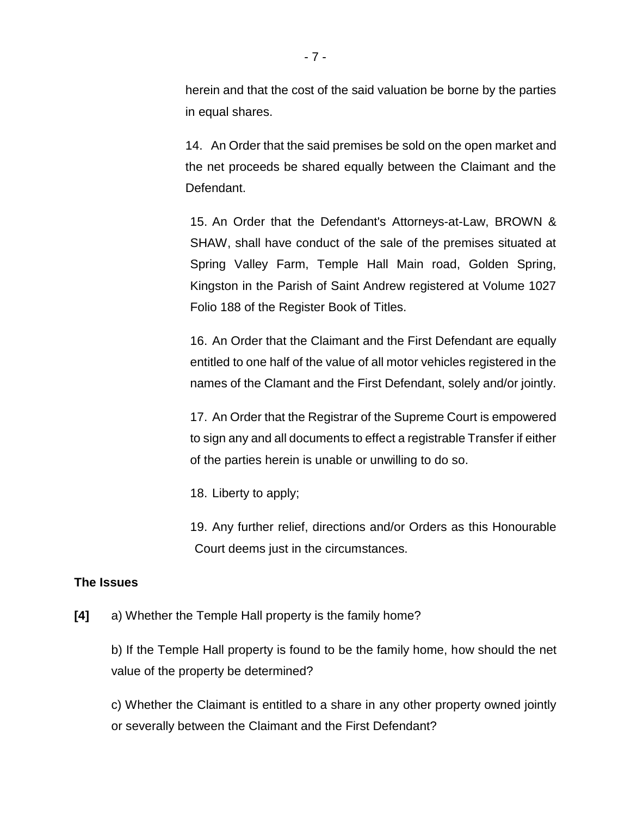herein and that the cost of the said valuation be borne by the parties in equal shares.

14. An Order that the said premises be sold on the open market and the net proceeds be shared equally between the Claimant and the Defendant.

15. An Order that the Defendant's Attorneys-at-Law, BROWN & SHAW, shall have conduct of the sale of the premises situated at Spring Valley Farm, Temple Hall Main road, Golden Spring, Kingston in the Parish of Saint Andrew registered at Volume 1027 Folio 188 of the Register Book of Titles.

16. An Order that the Claimant and the First Defendant are equally entitled to one half of the value of all motor vehicles registered in the names of the Clamant and the First Defendant, solely and/or jointly.

17. An Order that the Registrar of the Supreme Court is empowered to sign any and all documents to effect a registrable Transfer if either of the parties herein is unable or unwilling to do so.

18. Liberty to apply;

19. Any further relief, directions and/or Orders as this Honourable Court deems just in the circumstances.

## **The Issues**

**[4]** a) Whether the Temple Hall property is the family home?

b) If the Temple Hall property is found to be the family home, how should the net value of the property be determined?

c) Whether the Claimant is entitled to a share in any other property owned jointly or severally between the Claimant and the First Defendant?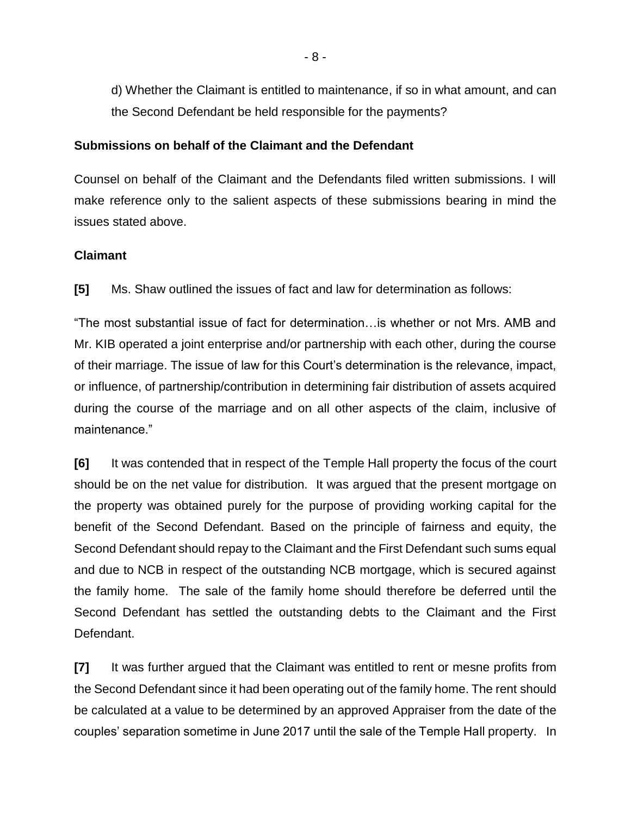d) Whether the Claimant is entitled to maintenance, if so in what amount, and can the Second Defendant be held responsible for the payments?

#### **Submissions on behalf of the Claimant and the Defendant**

Counsel on behalf of the Claimant and the Defendants filed written submissions. I will make reference only to the salient aspects of these submissions bearing in mind the issues stated above.

## **Claimant**

**[5]** Ms. Shaw outlined the issues of fact and law for determination as follows:

"The most substantial issue of fact for determination…is whether or not Mrs. AMB and Mr. KIB operated a joint enterprise and/or partnership with each other, during the course of their marriage. The issue of law for this Court's determination is the relevance, impact, or influence, of partnership/contribution in determining fair distribution of assets acquired during the course of the marriage and on all other aspects of the claim, inclusive of maintenance."

**[6]** It was contended that in respect of the Temple Hall property the focus of the court should be on the net value for distribution. It was argued that the present mortgage on the property was obtained purely for the purpose of providing working capital for the benefit of the Second Defendant. Based on the principle of fairness and equity, the Second Defendant should repay to the Claimant and the First Defendant such sums equal and due to NCB in respect of the outstanding NCB mortgage, which is secured against the family home. The sale of the family home should therefore be deferred until the Second Defendant has settled the outstanding debts to the Claimant and the First Defendant.

**[7]** It was further argued that the Claimant was entitled to rent or mesne profits from the Second Defendant since it had been operating out of the family home. The rent should be calculated at a value to be determined by an approved Appraiser from the date of the couples' separation sometime in June 2017 until the sale of the Temple Hall property. In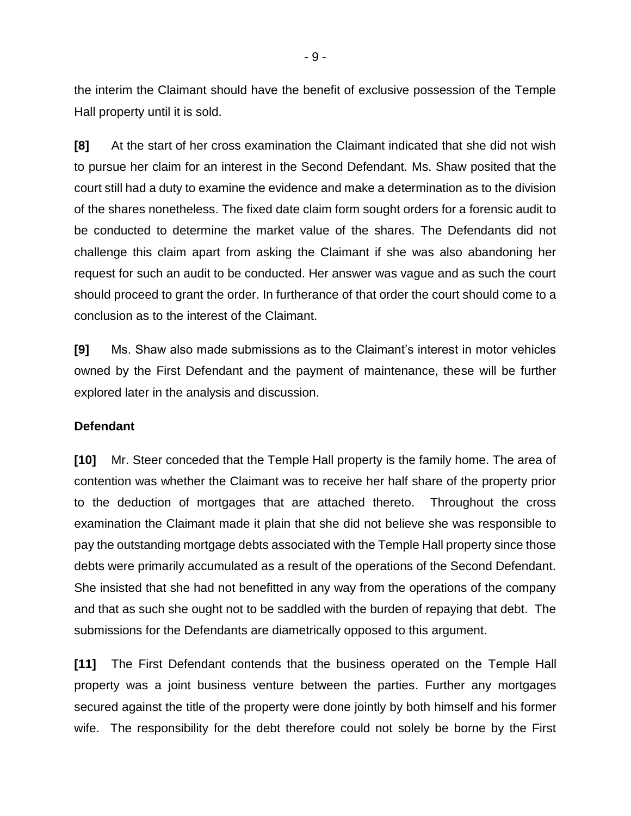the interim the Claimant should have the benefit of exclusive possession of the Temple Hall property until it is sold.

**[8]** At the start of her cross examination the Claimant indicated that she did not wish to pursue her claim for an interest in the Second Defendant. Ms. Shaw posited that the court still had a duty to examine the evidence and make a determination as to the division of the shares nonetheless. The fixed date claim form sought orders for a forensic audit to be conducted to determine the market value of the shares. The Defendants did not challenge this claim apart from asking the Claimant if she was also abandoning her request for such an audit to be conducted. Her answer was vague and as such the court should proceed to grant the order. In furtherance of that order the court should come to a conclusion as to the interest of the Claimant.

**[9]** Ms. Shaw also made submissions as to the Claimant's interest in motor vehicles owned by the First Defendant and the payment of maintenance, these will be further explored later in the analysis and discussion.

#### **Defendant**

**[10]** Mr. Steer conceded that the Temple Hall property is the family home. The area of contention was whether the Claimant was to receive her half share of the property prior to the deduction of mortgages that are attached thereto. Throughout the cross examination the Claimant made it plain that she did not believe she was responsible to pay the outstanding mortgage debts associated with the Temple Hall property since those debts were primarily accumulated as a result of the operations of the Second Defendant. She insisted that she had not benefitted in any way from the operations of the company and that as such she ought not to be saddled with the burden of repaying that debt. The submissions for the Defendants are diametrically opposed to this argument.

**[11]** The First Defendant contends that the business operated on the Temple Hall property was a joint business venture between the parties. Further any mortgages secured against the title of the property were done jointly by both himself and his former wife. The responsibility for the debt therefore could not solely be borne by the First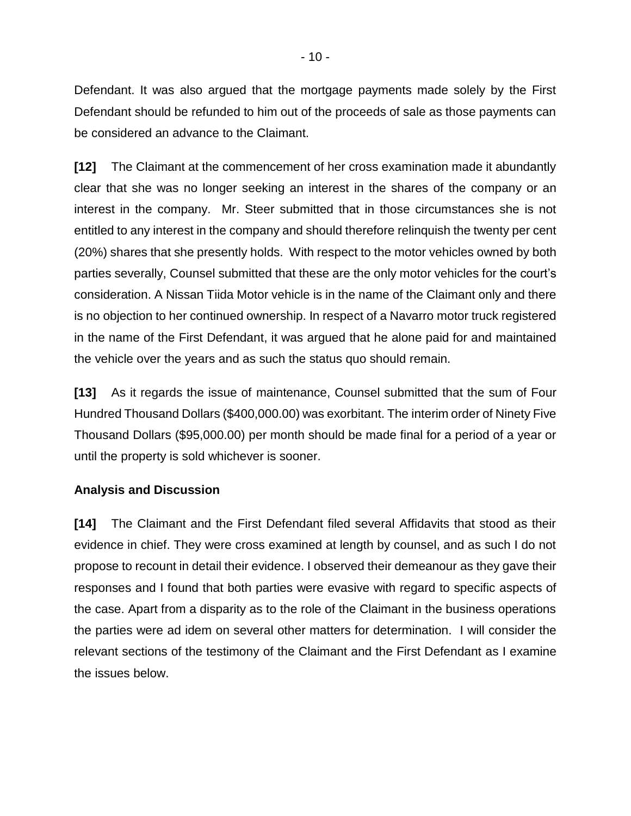Defendant. It was also argued that the mortgage payments made solely by the First Defendant should be refunded to him out of the proceeds of sale as those payments can be considered an advance to the Claimant.

**[12]** The Claimant at the commencement of her cross examination made it abundantly clear that she was no longer seeking an interest in the shares of the company or an interest in the company. Mr. Steer submitted that in those circumstances she is not entitled to any interest in the company and should therefore relinquish the twenty per cent (20%) shares that she presently holds. With respect to the motor vehicles owned by both parties severally, Counsel submitted that these are the only motor vehicles for the court's consideration. A Nissan Tiida Motor vehicle is in the name of the Claimant only and there is no objection to her continued ownership. In respect of a Navarro motor truck registered in the name of the First Defendant, it was argued that he alone paid for and maintained the vehicle over the years and as such the status quo should remain.

**[13]** As it regards the issue of maintenance, Counsel submitted that the sum of Four Hundred Thousand Dollars (\$400,000.00) was exorbitant. The interim order of Ninety Five Thousand Dollars (\$95,000.00) per month should be made final for a period of a year or until the property is sold whichever is sooner.

## **Analysis and Discussion**

**[14]** The Claimant and the First Defendant filed several Affidavits that stood as their evidence in chief. They were cross examined at length by counsel, and as such I do not propose to recount in detail their evidence. I observed their demeanour as they gave their responses and I found that both parties were evasive with regard to specific aspects of the case. Apart from a disparity as to the role of the Claimant in the business operations the parties were ad idem on several other matters for determination. I will consider the relevant sections of the testimony of the Claimant and the First Defendant as I examine the issues below.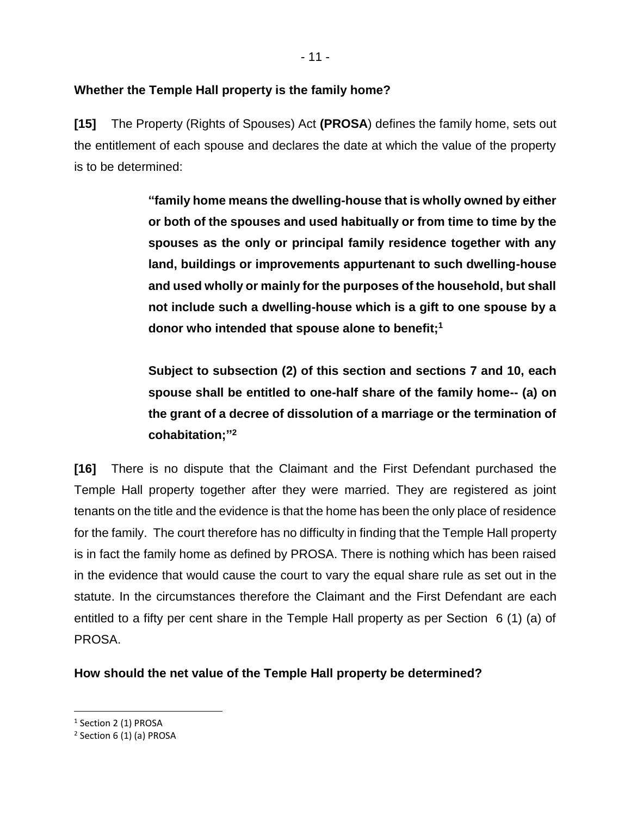# **Whether the Temple Hall property is the family home?**

**[15]** The Property (Rights of Spouses) Act **(PROSA**) defines the family home, sets out the entitlement of each spouse and declares the date at which the value of the property is to be determined:

> **"family home means the dwelling-house that is wholly owned by either or both of the spouses and used habitually or from time to time by the spouses as the only or principal family residence together with any land, buildings or improvements appurtenant to such dwelling-house and used wholly or mainly for the purposes of the household, but shall not include such a dwelling-house which is a gift to one spouse by a donor who intended that spouse alone to benefit;<sup>1</sup>**

> **Subject to subsection (2) of this section and sections 7 and 10, each spouse shall be entitled to one-half share of the family home-- (a) on the grant of a decree of dissolution of a marriage or the termination of cohabitation;" 2**

**[16]** There is no dispute that the Claimant and the First Defendant purchased the Temple Hall property together after they were married. They are registered as joint tenants on the title and the evidence is that the home has been the only place of residence for the family. The court therefore has no difficulty in finding that the Temple Hall property is in fact the family home as defined by PROSA. There is nothing which has been raised in the evidence that would cause the court to vary the equal share rule as set out in the statute. In the circumstances therefore the Claimant and the First Defendant are each entitled to a fifty per cent share in the Temple Hall property as per Section 6 (1) (a) of PROSA.

**How should the net value of the Temple Hall property be determined?**

<sup>&</sup>lt;sup>1</sup> Section 2 (1) PROSA

<sup>&</sup>lt;sup>2</sup> Section 6 (1) (a) PROSA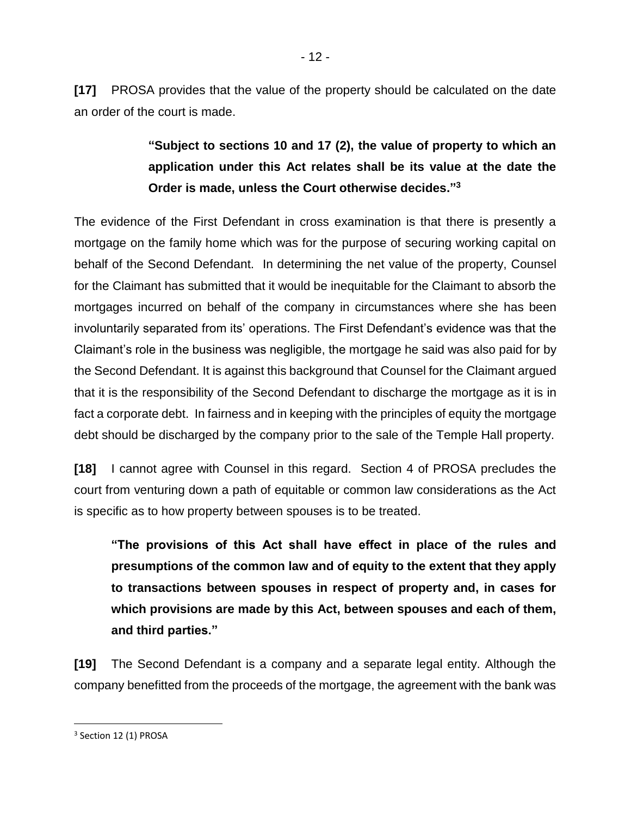**[17]** PROSA provides that the value of the property should be calculated on the date an order of the court is made.

> **"Subject to sections 10 and 17 (2), the value of property to which an application under this Act relates shall be its value at the date the Order is made, unless the Court otherwise decides." 3**

The evidence of the First Defendant in cross examination is that there is presently a mortgage on the family home which was for the purpose of securing working capital on behalf of the Second Defendant. In determining the net value of the property, Counsel for the Claimant has submitted that it would be inequitable for the Claimant to absorb the mortgages incurred on behalf of the company in circumstances where she has been involuntarily separated from its' operations. The First Defendant's evidence was that the Claimant's role in the business was negligible, the mortgage he said was also paid for by the Second Defendant. It is against this background that Counsel for the Claimant argued that it is the responsibility of the Second Defendant to discharge the mortgage as it is in fact a corporate debt. In fairness and in keeping with the principles of equity the mortgage debt should be discharged by the company prior to the sale of the Temple Hall property.

**[18]** I cannot agree with Counsel in this regard. Section 4 of PROSA precludes the court from venturing down a path of equitable or common law considerations as the Act is specific as to how property between spouses is to be treated.

**"The provisions of this Act shall have effect in place of the rules and presumptions of the common law and of equity to the extent that they apply to transactions between spouses in respect of property and, in cases for which provisions are made by this Act, between spouses and each of them, and third parties."**

**[19]** The Second Defendant is a company and a separate legal entity. Although the company benefitted from the proceeds of the mortgage, the agreement with the bank was

<sup>&</sup>lt;sup>3</sup> Section 12 (1) PROSA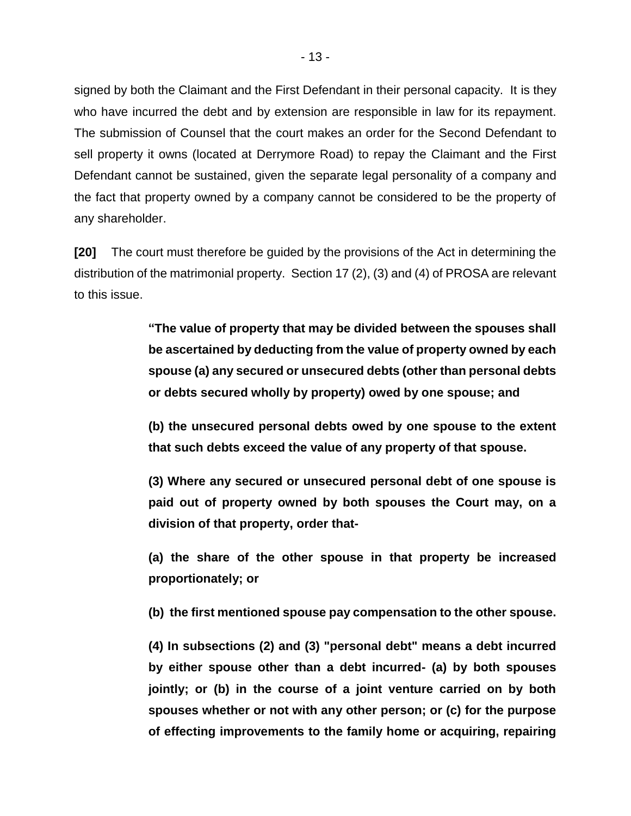signed by both the Claimant and the First Defendant in their personal capacity. It is they who have incurred the debt and by extension are responsible in law for its repayment. The submission of Counsel that the court makes an order for the Second Defendant to sell property it owns (located at Derrymore Road) to repay the Claimant and the First Defendant cannot be sustained, given the separate legal personality of a company and the fact that property owned by a company cannot be considered to be the property of any shareholder.

**[20]** The court must therefore be guided by the provisions of the Act in determining the distribution of the matrimonial property. Section 17 (2), (3) and (4) of PROSA are relevant to this issue.

> **"The value of property that may be divided between the spouses shall be ascertained by deducting from the value of property owned by each spouse (a) any secured or unsecured debts (other than personal debts or debts secured wholly by property) owed by one spouse; and**

> **(b) the unsecured personal debts owed by one spouse to the extent that such debts exceed the value of any property of that spouse.**

> **(3) Where any secured or unsecured personal debt of one spouse is paid out of property owned by both spouses the Court may, on a division of that property, order that-**

> **(a) the share of the other spouse in that property be increased proportionately; or**

> **(b) the first mentioned spouse pay compensation to the other spouse.**

**(4) In subsections (2) and (3) "personal debt" means a debt incurred by either spouse other than a debt incurred- (a) by both spouses jointly; or (b) in the course of a joint venture carried on by both spouses whether or not with any other person; or (c) for the purpose of effecting improvements to the family home or acquiring, repairing**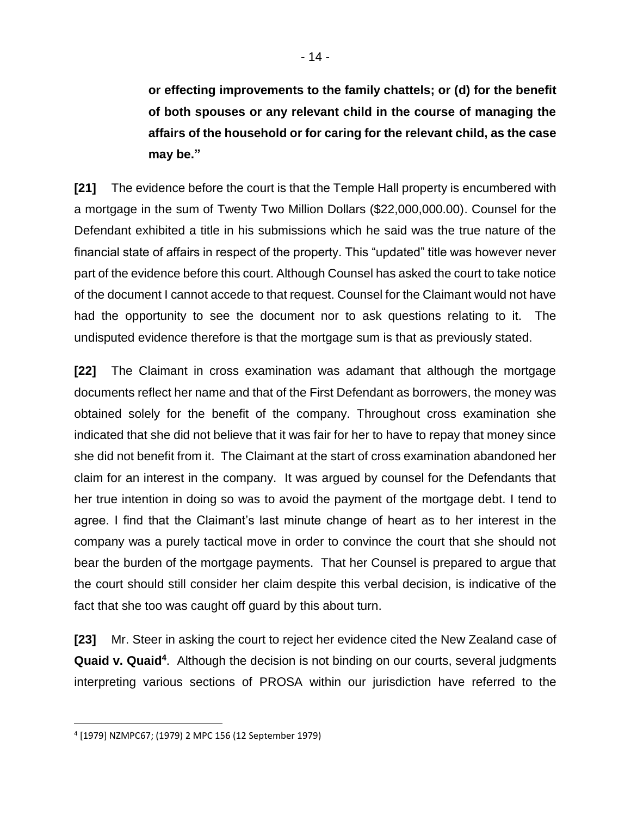**or effecting improvements to the family chattels; or (d) for the benefit of both spouses or any relevant child in the course of managing the affairs of the household or for caring for the relevant child, as the case may be."**

**[21]** The evidence before the court is that the Temple Hall property is encumbered with a mortgage in the sum of Twenty Two Million Dollars (\$22,000,000.00). Counsel for the Defendant exhibited a title in his submissions which he said was the true nature of the financial state of affairs in respect of the property. This "updated" title was however never part of the evidence before this court. Although Counsel has asked the court to take notice of the document I cannot accede to that request. Counsel for the Claimant would not have had the opportunity to see the document nor to ask questions relating to it. The undisputed evidence therefore is that the mortgage sum is that as previously stated.

**[22]** The Claimant in cross examination was adamant that although the mortgage documents reflect her name and that of the First Defendant as borrowers, the money was obtained solely for the benefit of the company. Throughout cross examination she indicated that she did not believe that it was fair for her to have to repay that money since she did not benefit from it. The Claimant at the start of cross examination abandoned her claim for an interest in the company. It was argued by counsel for the Defendants that her true intention in doing so was to avoid the payment of the mortgage debt. I tend to agree. I find that the Claimant's last minute change of heart as to her interest in the company was a purely tactical move in order to convince the court that she should not bear the burden of the mortgage payments. That her Counsel is prepared to argue that the court should still consider her claim despite this verbal decision, is indicative of the fact that she too was caught off guard by this about turn.

**[23]** Mr. Steer in asking the court to reject her evidence cited the New Zealand case of **Quaid v. Quaid<sup>4</sup>** . Although the decision is not binding on our courts, several judgments interpreting various sections of PROSA within our jurisdiction have referred to the

<sup>4</sup> [1979] NZMPC67; (1979) 2 MPC 156 (12 September 1979)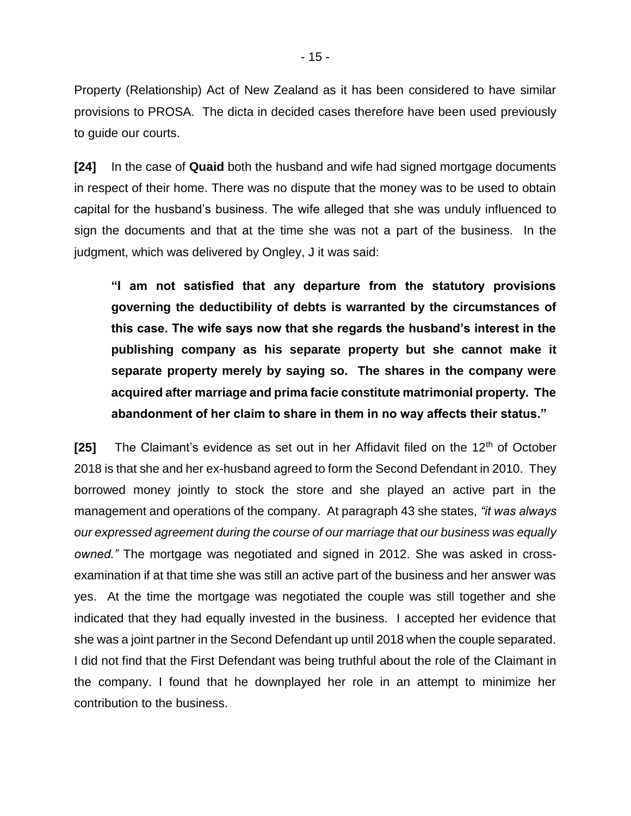Property (Relationship) Act of New Zealand as it has been considered to have similar provisions to PROSA. The dicta in decided cases therefore have been used previously to guide our courts.

**[24]** In the case of **Quaid** both the husband and wife had signed mortgage documents in respect of their home. There was no dispute that the money was to be used to obtain capital for the husband's business. The wife alleged that she was unduly influenced to sign the documents and that at the time she was not a part of the business. In the judgment, which was delivered by Ongley, J it was said:

**"I am not satisfied that any departure from the statutory provisions governing the deductibility of debts is warranted by the circumstances of this case. The wife says now that she regards the husband's interest in the publishing company as his separate property but she cannot make it separate property merely by saying so. The shares in the company were acquired after marriage and prima facie constitute matrimonial property. The abandonment of her claim to share in them in no way affects their status."** 

**[25]** The Claimant's evidence as set out in her Affidavit filed on the 12<sup>th</sup> of October 2018 is that she and her ex-husband agreed to form the Second Defendant in 2010. They borrowed money jointly to stock the store and she played an active part in the management and operations of the company. At paragraph 43 she states, *"it was always our expressed agreement during the course of our marriage that our business was equally owned."* The mortgage was negotiated and signed in 2012. She was asked in crossexamination if at that time she was still an active part of the business and her answer was yes. At the time the mortgage was negotiated the couple was still together and she indicated that they had equally invested in the business. I accepted her evidence that she was a joint partner in the Second Defendant up until 2018 when the couple separated. I did not find that the First Defendant was being truthful about the role of the Claimant in the company. I found that he downplayed her role in an attempt to minimize her contribution to the business.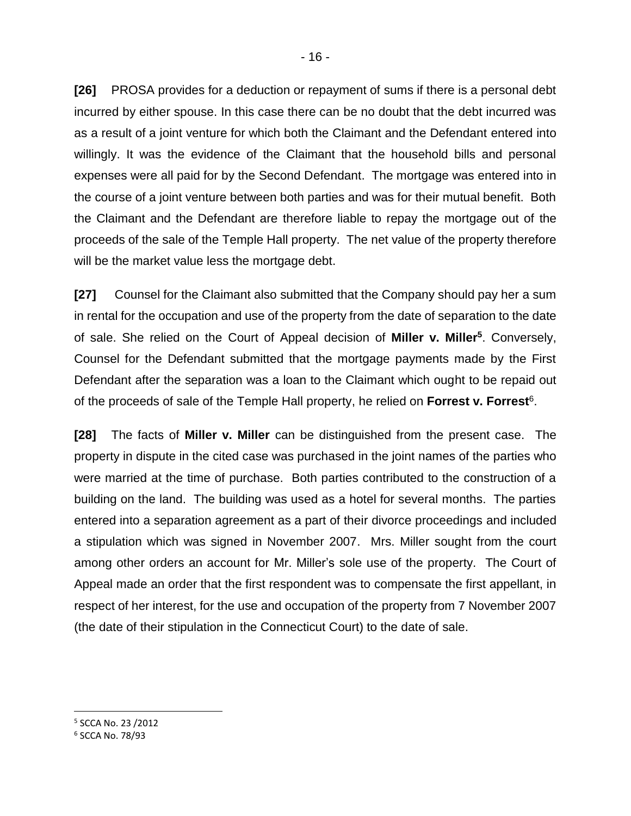**[26]** PROSA provides for a deduction or repayment of sums if there is a personal debt incurred by either spouse. In this case there can be no doubt that the debt incurred was as a result of a joint venture for which both the Claimant and the Defendant entered into willingly. It was the evidence of the Claimant that the household bills and personal expenses were all paid for by the Second Defendant. The mortgage was entered into in the course of a joint venture between both parties and was for their mutual benefit. Both the Claimant and the Defendant are therefore liable to repay the mortgage out of the proceeds of the sale of the Temple Hall property. The net value of the property therefore will be the market value less the mortgage debt.

**[27]** Counsel for the Claimant also submitted that the Company should pay her a sum in rental for the occupation and use of the property from the date of separation to the date of sale. She relied on the Court of Appeal decision of **Miller v. Miller<sup>5</sup>** . Conversely, Counsel for the Defendant submitted that the mortgage payments made by the First Defendant after the separation was a loan to the Claimant which ought to be repaid out of the proceeds of sale of the Temple Hall property, he relied on Forrest v. Forrest<sup>6</sup>.

**[28]** The facts of **Miller v. Miller** can be distinguished from the present case. The property in dispute in the cited case was purchased in the joint names of the parties who were married at the time of purchase. Both parties contributed to the construction of a building on the land. The building was used as a hotel for several months. The parties entered into a separation agreement as a part of their divorce proceedings and included a stipulation which was signed in November 2007. Mrs. Miller sought from the court among other orders an account for Mr. Miller's sole use of the property. The Court of Appeal made an order that the first respondent was to compensate the first appellant, in respect of her interest, for the use and occupation of the property from 7 November 2007 (the date of their stipulation in the Connecticut Court) to the date of sale.

5 SCCA No. 23 /2012

<sup>6</sup> SCCA No. 78/93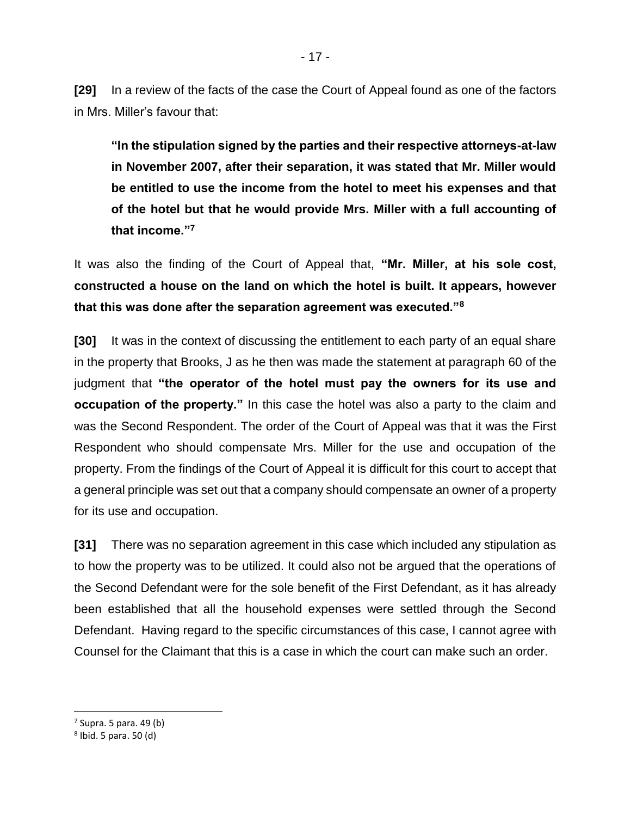**[29]** In a review of the facts of the case the Court of Appeal found as one of the factors in Mrs. Miller's favour that:

**"In the stipulation signed by the parties and their respective attorneys-at-law in November 2007, after their separation, it was stated that Mr. Miller would be entitled to use the income from the hotel to meet his expenses and that of the hotel but that he would provide Mrs. Miller with a full accounting of that income."<sup>7</sup>**

It was also the finding of the Court of Appeal that, **"Mr. Miller, at his sole cost, constructed a house on the land on which the hotel is built. It appears, however that this was done after the separation agreement was executed."<sup>8</sup>**

**[30]** It was in the context of discussing the entitlement to each party of an equal share in the property that Brooks, J as he then was made the statement at paragraph 60 of the judgment that **"the operator of the hotel must pay the owners for its use and occupation of the property."** In this case the hotel was also a party to the claim and was the Second Respondent. The order of the Court of Appeal was that it was the First Respondent who should compensate Mrs. Miller for the use and occupation of the property. From the findings of the Court of Appeal it is difficult for this court to accept that a general principle was set out that a company should compensate an owner of a property for its use and occupation.

**[31]** There was no separation agreement in this case which included any stipulation as to how the property was to be utilized. It could also not be argued that the operations of the Second Defendant were for the sole benefit of the First Defendant, as it has already been established that all the household expenses were settled through the Second Defendant. Having regard to the specific circumstances of this case, I cannot agree with Counsel for the Claimant that this is a case in which the court can make such an order.

<sup>&</sup>lt;sup>7</sup> Supra. 5 para. 49 (b)

<sup>8</sup> Ibid. 5 para. 50 (d)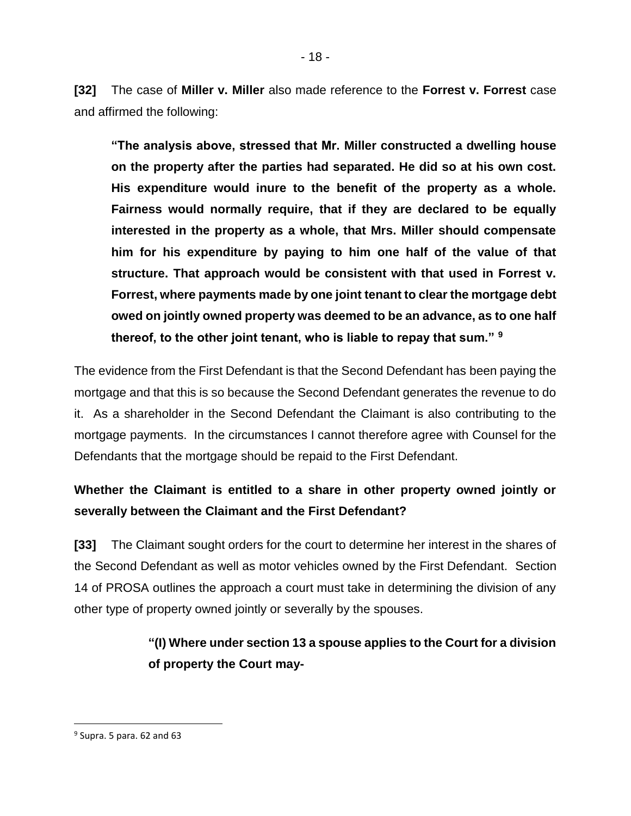**[32]** The case of **Miller v. Miller** also made reference to the **Forrest v. Forrest** case and affirmed the following:

**"The analysis above, stressed that Mr. Miller constructed a dwelling house on the property after the parties had separated. He did so at his own cost. His expenditure would inure to the benefit of the property as a whole. Fairness would normally require, that if they are declared to be equally interested in the property as a whole, that Mrs. Miller should compensate him for his expenditure by paying to him one half of the value of that structure. That approach would be consistent with that used in Forrest v. Forrest, where payments made by one joint tenant to clear the mortgage debt owed on jointly owned property was deemed to be an advance, as to one half thereof, to the other joint tenant, who is liable to repay that sum." <sup>9</sup>**

The evidence from the First Defendant is that the Second Defendant has been paying the mortgage and that this is so because the Second Defendant generates the revenue to do it. As a shareholder in the Second Defendant the Claimant is also contributing to the mortgage payments. In the circumstances I cannot therefore agree with Counsel for the Defendants that the mortgage should be repaid to the First Defendant.

# **Whether the Claimant is entitled to a share in other property owned jointly or severally between the Claimant and the First Defendant?**

**[33]** The Claimant sought orders for the court to determine her interest in the shares of the Second Defendant as well as motor vehicles owned by the First Defendant. Section 14 of PROSA outlines the approach a court must take in determining the division of any other type of property owned jointly or severally by the spouses.

# **"(I) Where under section 13 a spouse applies to the Court for a division of property the Court may-**

<sup>&</sup>lt;sup>9</sup> Supra. 5 para. 62 and 63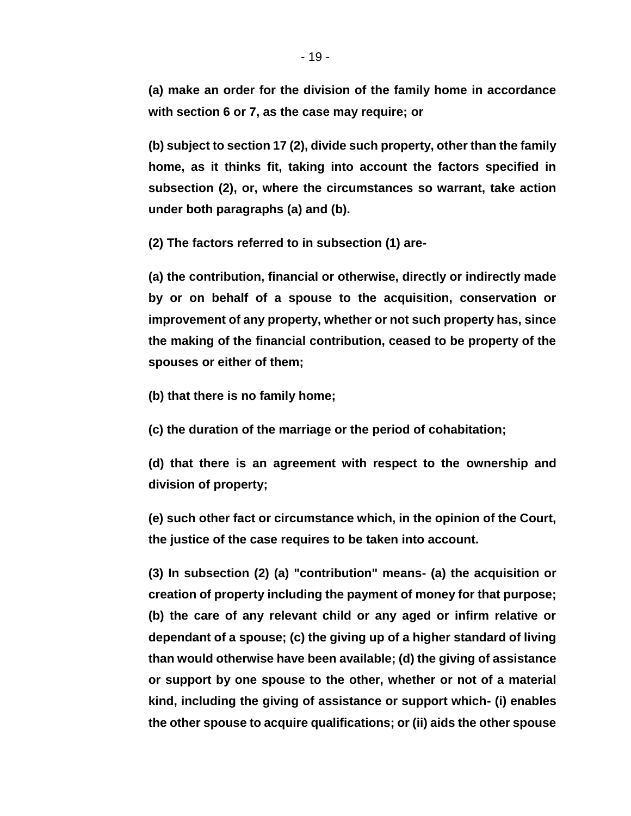**(a) make an order for the division of the family home in accordance with section 6 or 7, as the case may require; or** 

**(b) subject to section 17 (2), divide such property, other than the family home, as it thinks fit, taking into account the factors specified in subsection (2), or, where the circumstances so warrant, take action under both paragraphs (a) and (b).** 

**(2) The factors referred to in subsection (1) are-**

**(a) the contribution, financial or otherwise, directly or indirectly made by or on behalf of a spouse to the acquisition, conservation or improvement of any property, whether or not such property has, since the making of the financial contribution, ceased to be property of the spouses or either of them;** 

**(b) that there is no family home;** 

**(c) the duration of the marriage or the period of cohabitation;** 

**(d) that there is an agreement with respect to the ownership and division of property;**

**(e) such other fact or circumstance which, in the opinion of the Court, the justice of the case requires to be taken into account.** 

**(3) In subsection (2) (a) "contribution" means- (a) the acquisition or creation of property including the payment of money for that purpose; (b) the care of any relevant child or any aged or infirm relative or dependant of a spouse; (c) the giving up of a higher standard of living than would otherwise have been available; (d) the giving of assistance or support by one spouse to the other, whether or not of a material kind, including the giving of assistance or support which- (i) enables the other spouse to acquire qualifications; or (ii) aids the other spouse**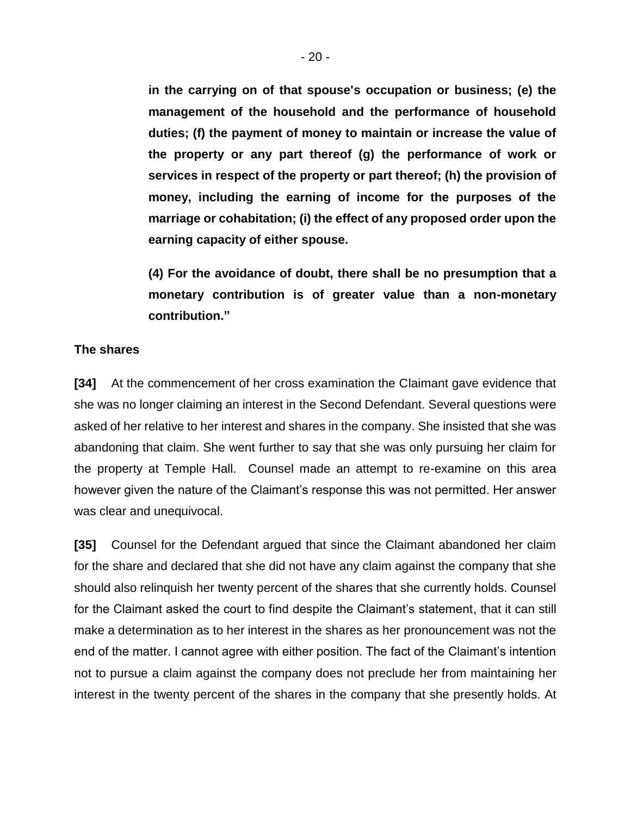**in the carrying on of that spouse's occupation or business; (e) the management of the household and the performance of household duties; (f) the payment of money to maintain or increase the value of the property or any part thereof (g) the performance of work or services in respect of the property or part thereof; (h) the provision of money, including the earning of income for the purposes of the marriage or cohabitation; (i) the effect of any proposed order upon the earning capacity of either spouse.**

**(4) For the avoidance of doubt, there shall be no presumption that a monetary contribution is of greater value than a non-monetary contribution."**

#### **The shares**

**[34]** At the commencement of her cross examination the Claimant gave evidence that she was no longer claiming an interest in the Second Defendant. Several questions were asked of her relative to her interest and shares in the company. She insisted that she was abandoning that claim. She went further to say that she was only pursuing her claim for the property at Temple Hall. Counsel made an attempt to re-examine on this area however given the nature of the Claimant's response this was not permitted. Her answer was clear and unequivocal.

**[35]** Counsel for the Defendant argued that since the Claimant abandoned her claim for the share and declared that she did not have any claim against the company that she should also relinquish her twenty percent of the shares that she currently holds. Counsel for the Claimant asked the court to find despite the Claimant's statement, that it can still make a determination as to her interest in the shares as her pronouncement was not the end of the matter. I cannot agree with either position. The fact of the Claimant's intention not to pursue a claim against the company does not preclude her from maintaining her interest in the twenty percent of the shares in the company that she presently holds. At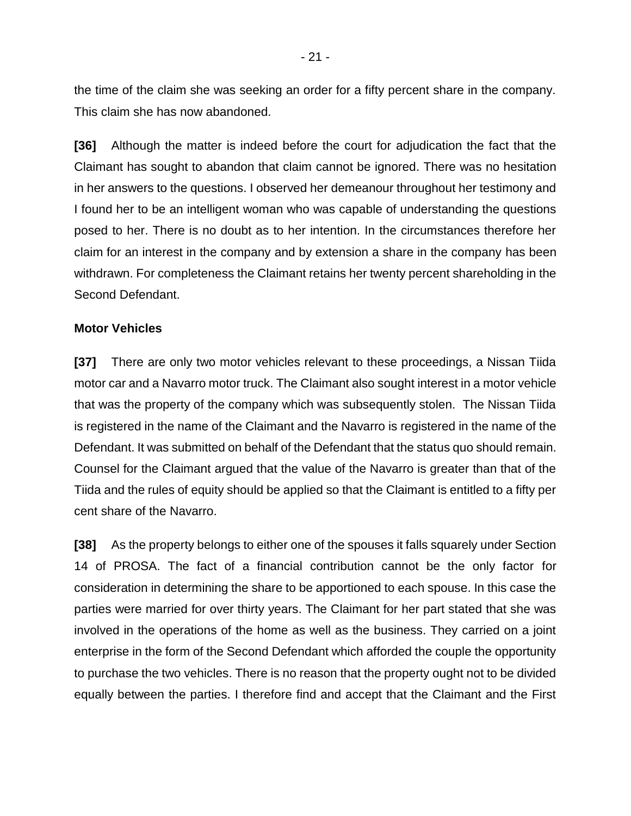the time of the claim she was seeking an order for a fifty percent share in the company. This claim she has now abandoned.

**[36]** Although the matter is indeed before the court for adjudication the fact that the Claimant has sought to abandon that claim cannot be ignored. There was no hesitation in her answers to the questions. I observed her demeanour throughout her testimony and I found her to be an intelligent woman who was capable of understanding the questions posed to her. There is no doubt as to her intention. In the circumstances therefore her claim for an interest in the company and by extension a share in the company has been withdrawn. For completeness the Claimant retains her twenty percent shareholding in the Second Defendant.

#### **Motor Vehicles**

**[37]** There are only two motor vehicles relevant to these proceedings, a Nissan Tiida motor car and a Navarro motor truck. The Claimant also sought interest in a motor vehicle that was the property of the company which was subsequently stolen. The Nissan Tiida is registered in the name of the Claimant and the Navarro is registered in the name of the Defendant. It was submitted on behalf of the Defendant that the status quo should remain. Counsel for the Claimant argued that the value of the Navarro is greater than that of the Tiida and the rules of equity should be applied so that the Claimant is entitled to a fifty per cent share of the Navarro.

**[38]** As the property belongs to either one of the spouses it falls squarely under Section 14 of PROSA. The fact of a financial contribution cannot be the only factor for consideration in determining the share to be apportioned to each spouse. In this case the parties were married for over thirty years. The Claimant for her part stated that she was involved in the operations of the home as well as the business. They carried on a joint enterprise in the form of the Second Defendant which afforded the couple the opportunity to purchase the two vehicles. There is no reason that the property ought not to be divided equally between the parties. I therefore find and accept that the Claimant and the First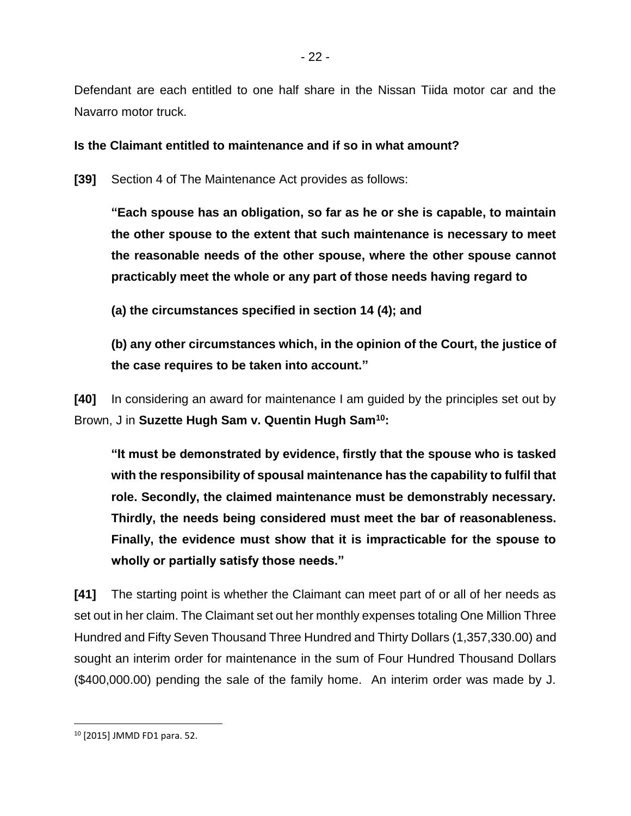Defendant are each entitled to one half share in the Nissan Tiida motor car and the Navarro motor truck.

## **Is the Claimant entitled to maintenance and if so in what amount?**

**[39]** Section 4 of The Maintenance Act provides as follows:

**"Each spouse has an obligation, so far as he or she is capable, to maintain the other spouse to the extent that such maintenance is necessary to meet the reasonable needs of the other spouse, where the other spouse cannot practicably meet the whole or any part of those needs having regard to**

**(a) the circumstances specified in section 14 (4); and**

**(b) any other circumstances which, in the opinion of the Court, the justice of the case requires to be taken into account."**

**[40]** In considering an award for maintenance I am guided by the principles set out by Brown, J in **Suzette Hugh Sam v. Quentin Hugh Sam<sup>10</sup>:**

**"It must be demonstrated by evidence, firstly that the spouse who is tasked with the responsibility of spousal maintenance has the capability to fulfil that role. Secondly, the claimed maintenance must be demonstrably necessary. Thirdly, the needs being considered must meet the bar of reasonableness. Finally, the evidence must show that it is impracticable for the spouse to wholly or partially satisfy those needs."** 

**[41]** The starting point is whether the Claimant can meet part of or all of her needs as set out in her claim. The Claimant set out her monthly expenses totaling One Million Three Hundred and Fifty Seven Thousand Three Hundred and Thirty Dollars (1,357,330.00) and sought an interim order for maintenance in the sum of Four Hundred Thousand Dollars (\$400,000.00) pending the sale of the family home. An interim order was made by J.

<sup>10</sup> [2015] JMMD FD1 para. 52.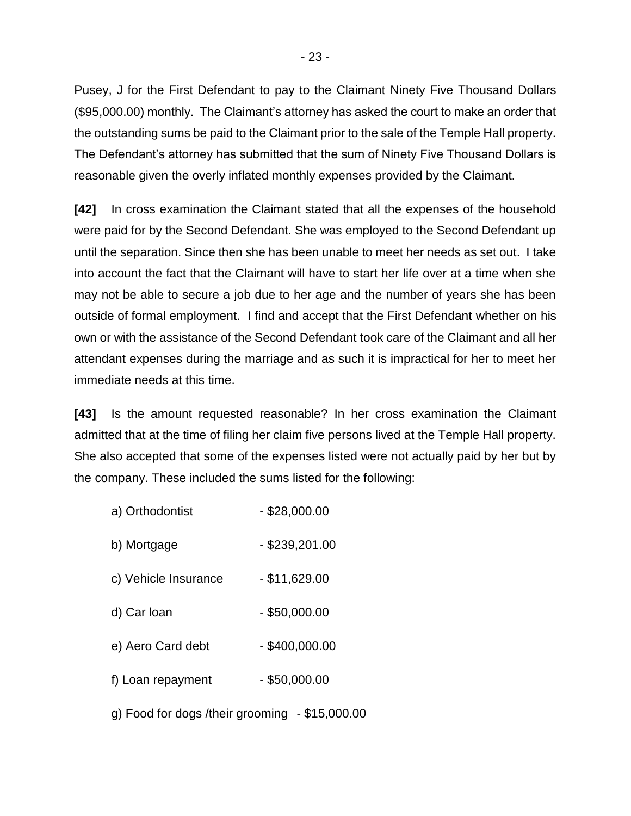Pusey, J for the First Defendant to pay to the Claimant Ninety Five Thousand Dollars (\$95,000.00) monthly. The Claimant's attorney has asked the court to make an order that the outstanding sums be paid to the Claimant prior to the sale of the Temple Hall property. The Defendant's attorney has submitted that the sum of Ninety Five Thousand Dollars is reasonable given the overly inflated monthly expenses provided by the Claimant.

**[42]** In cross examination the Claimant stated that all the expenses of the household were paid for by the Second Defendant. She was employed to the Second Defendant up until the separation. Since then she has been unable to meet her needs as set out. I take into account the fact that the Claimant will have to start her life over at a time when she may not be able to secure a job due to her age and the number of years she has been outside of formal employment. I find and accept that the First Defendant whether on his own or with the assistance of the Second Defendant took care of the Claimant and all her attendant expenses during the marriage and as such it is impractical for her to meet her immediate needs at this time.

**[43]** Is the amount requested reasonable? In her cross examination the Claimant admitted that at the time of filing her claim five persons lived at the Temple Hall property. She also accepted that some of the expenses listed were not actually paid by her but by the company. These included the sums listed for the following:

- a) Orthodontist \$28,000.00
- b) Mortgage \$239,201.00
- $c)$  Vehicle Insurance  $$11,629.00$
- d) Car loan \$50,000.00
- e) Aero Card debt \$400,000.00
- $f)$  Loan repayment \$50,000.00

g) Food for dogs /their grooming - \$15,000.00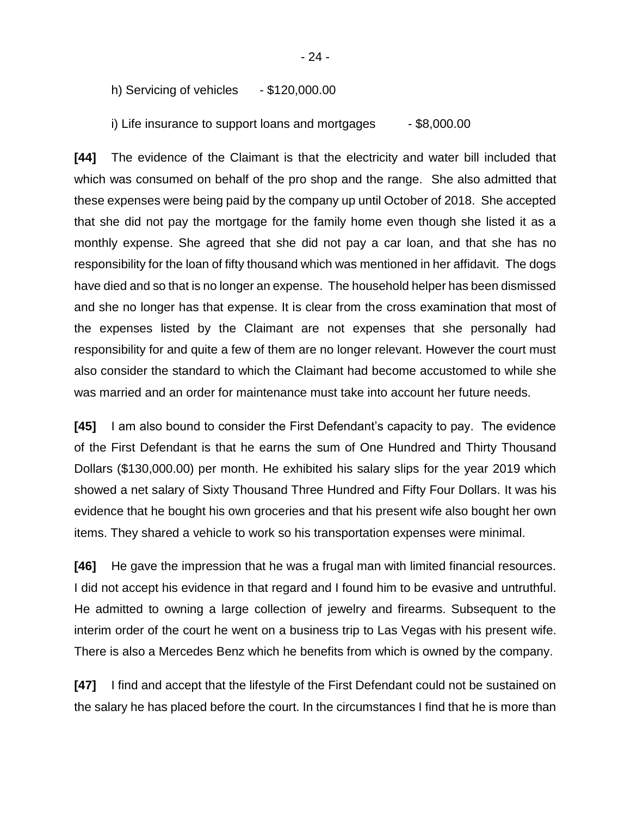h) Servicing of vehicles  $- $120,000.00$ 

i) Life insurance to support loans and mortgages  $-$  \$8,000.00

**[44]** The evidence of the Claimant is that the electricity and water bill included that which was consumed on behalf of the pro shop and the range. She also admitted that these expenses were being paid by the company up until October of 2018. She accepted that she did not pay the mortgage for the family home even though she listed it as a monthly expense. She agreed that she did not pay a car loan, and that she has no responsibility for the loan of fifty thousand which was mentioned in her affidavit. The dogs have died and so that is no longer an expense. The household helper has been dismissed and she no longer has that expense. It is clear from the cross examination that most of the expenses listed by the Claimant are not expenses that she personally had responsibility for and quite a few of them are no longer relevant. However the court must also consider the standard to which the Claimant had become accustomed to while she was married and an order for maintenance must take into account her future needs.

**[45]** I am also bound to consider the First Defendant's capacity to pay. The evidence of the First Defendant is that he earns the sum of One Hundred and Thirty Thousand Dollars (\$130,000.00) per month. He exhibited his salary slips for the year 2019 which showed a net salary of Sixty Thousand Three Hundred and Fifty Four Dollars. It was his evidence that he bought his own groceries and that his present wife also bought her own items. They shared a vehicle to work so his transportation expenses were minimal.

**[46]** He gave the impression that he was a frugal man with limited financial resources. I did not accept his evidence in that regard and I found him to be evasive and untruthful. He admitted to owning a large collection of jewelry and firearms. Subsequent to the interim order of the court he went on a business trip to Las Vegas with his present wife. There is also a Mercedes Benz which he benefits from which is owned by the company.

**[47]** I find and accept that the lifestyle of the First Defendant could not be sustained on the salary he has placed before the court. In the circumstances I find that he is more than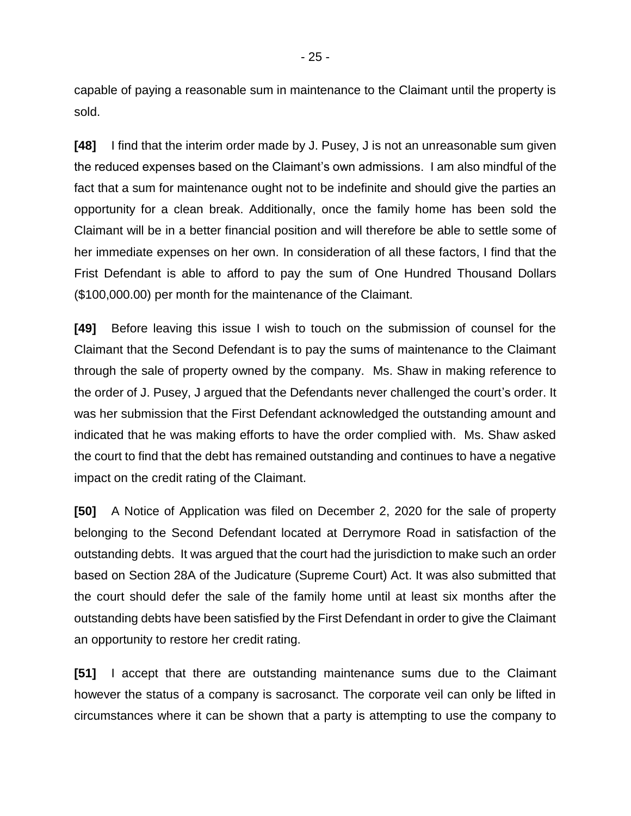capable of paying a reasonable sum in maintenance to the Claimant until the property is sold.

**[48]** I find that the interim order made by J. Pusey, J is not an unreasonable sum given the reduced expenses based on the Claimant's own admissions. I am also mindful of the fact that a sum for maintenance ought not to be indefinite and should give the parties an opportunity for a clean break. Additionally, once the family home has been sold the Claimant will be in a better financial position and will therefore be able to settle some of her immediate expenses on her own. In consideration of all these factors, I find that the Frist Defendant is able to afford to pay the sum of One Hundred Thousand Dollars (\$100,000.00) per month for the maintenance of the Claimant.

**[49]** Before leaving this issue I wish to touch on the submission of counsel for the Claimant that the Second Defendant is to pay the sums of maintenance to the Claimant through the sale of property owned by the company. Ms. Shaw in making reference to the order of J. Pusey, J argued that the Defendants never challenged the court's order. It was her submission that the First Defendant acknowledged the outstanding amount and indicated that he was making efforts to have the order complied with. Ms. Shaw asked the court to find that the debt has remained outstanding and continues to have a negative impact on the credit rating of the Claimant.

**[50]** A Notice of Application was filed on December 2, 2020 for the sale of property belonging to the Second Defendant located at Derrymore Road in satisfaction of the outstanding debts. It was argued that the court had the jurisdiction to make such an order based on Section 28A of the Judicature (Supreme Court) Act. It was also submitted that the court should defer the sale of the family home until at least six months after the outstanding debts have been satisfied by the First Defendant in order to give the Claimant an opportunity to restore her credit rating.

**[51]** I accept that there are outstanding maintenance sums due to the Claimant however the status of a company is sacrosanct. The corporate veil can only be lifted in circumstances where it can be shown that a party is attempting to use the company to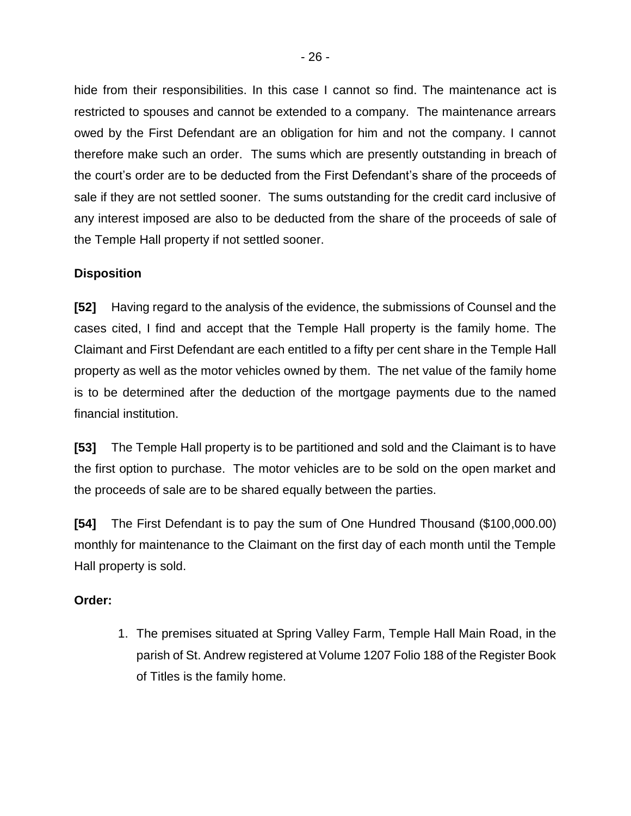hide from their responsibilities. In this case I cannot so find. The maintenance act is restricted to spouses and cannot be extended to a company. The maintenance arrears owed by the First Defendant are an obligation for him and not the company. I cannot therefore make such an order. The sums which are presently outstanding in breach of the court's order are to be deducted from the First Defendant's share of the proceeds of sale if they are not settled sooner. The sums outstanding for the credit card inclusive of any interest imposed are also to be deducted from the share of the proceeds of sale of the Temple Hall property if not settled sooner.

## **Disposition**

**[52]** Having regard to the analysis of the evidence, the submissions of Counsel and the cases cited, I find and accept that the Temple Hall property is the family home. The Claimant and First Defendant are each entitled to a fifty per cent share in the Temple Hall property as well as the motor vehicles owned by them. The net value of the family home is to be determined after the deduction of the mortgage payments due to the named financial institution.

**[53]** The Temple Hall property is to be partitioned and sold and the Claimant is to have the first option to purchase. The motor vehicles are to be sold on the open market and the proceeds of sale are to be shared equally between the parties.

**[54]** The First Defendant is to pay the sum of One Hundred Thousand (\$100,000.00) monthly for maintenance to the Claimant on the first day of each month until the Temple Hall property is sold.

## **Order:**

1. The premises situated at Spring Valley Farm, Temple Hall Main Road, in the parish of St. Andrew registered at Volume 1207 Folio 188 of the Register Book of Titles is the family home.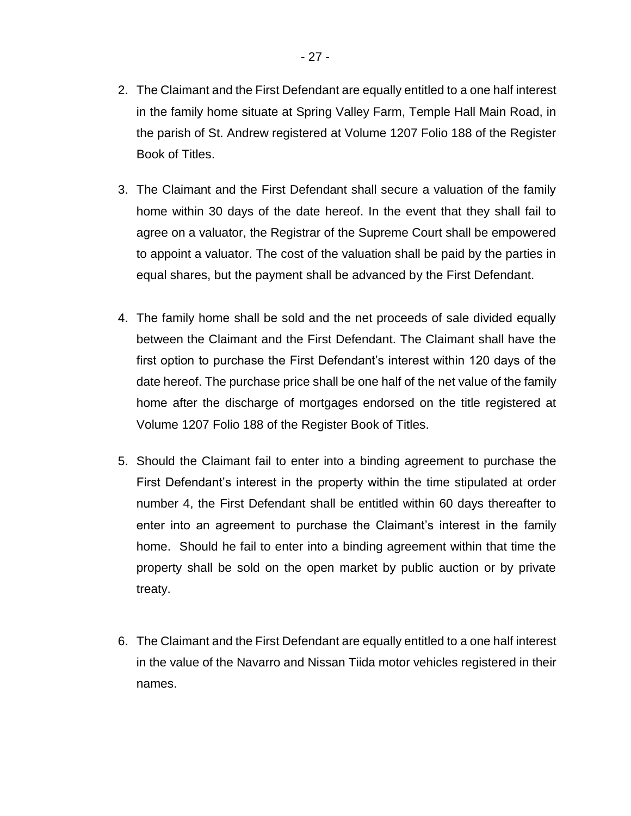- 3. The Claimant and the First Defendant shall secure a valuation of the family home within 30 days of the date hereof. In the event that they shall fail to agree on a valuator, the Registrar of the Supreme Court shall be empowered to appoint a valuator. The cost of the valuation shall be paid by the parties in equal shares, but the payment shall be advanced by the First Defendant.
- 4. The family home shall be sold and the net proceeds of sale divided equally between the Claimant and the First Defendant. The Claimant shall have the first option to purchase the First Defendant's interest within 120 days of the date hereof. The purchase price shall be one half of the net value of the family home after the discharge of mortgages endorsed on the title registered at Volume 1207 Folio 188 of the Register Book of Titles.
- 5. Should the Claimant fail to enter into a binding agreement to purchase the First Defendant's interest in the property within the time stipulated at order number 4, the First Defendant shall be entitled within 60 days thereafter to enter into an agreement to purchase the Claimant's interest in the family home. Should he fail to enter into a binding agreement within that time the property shall be sold on the open market by public auction or by private treaty.
- 6. The Claimant and the First Defendant are equally entitled to a one half interest in the value of the Navarro and Nissan Tiida motor vehicles registered in their names.

Book of Titles.